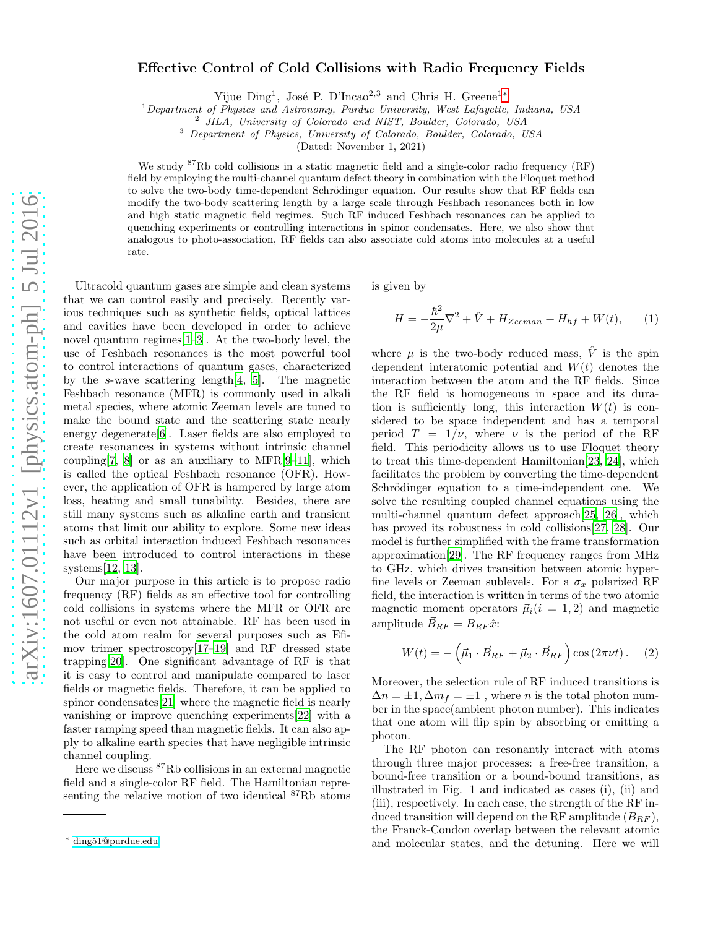## Effective Control of Cold Collisions with Radio Frequency Fields

Yijue Ding<sup>1</sup>, José P. D'Incao<sup>2,3</sup> and Chris H. Greene<sup>1</sup><sup>[∗](#page-0-0)</sup>

<sup>1</sup>Department of Physics and Astronomy, Purdue University, West Lafayette, Indiana, USA

JILA, University of Colorado and NIST, Boulder, Colorado, USA

<sup>3</sup> Department of Physics, University of Colorado, Boulder, Colorado, USA

(Dated: November 1, 2021)

We study <sup>87</sup>Rb cold collisions in a static magnetic field and a single-color radio frequency (RF) field by employing the multi-channel quantum defect theory in combination with the Floquet method to solve the two-body time-dependent Schrödinger equation. Our results show that RF fields can modify the two-body scattering length by a large scale through Feshbach resonances both in low and high static magnetic field regimes. Such RF induced Feshbach resonances can be applied to quenching experiments or controlling interactions in spinor condensates. Here, we also show that analogous to photo-association, RF fields can also associate cold atoms into molecules at a useful rate.

Ultracold quantum gases are simple and clean systems that we can control easily and precisely. Recently various techniques such as synthetic fields, optical lattices and cavities have been developed in order to achieve novel quantum regimes[\[1](#page-4-0)[–3\]](#page-4-1). At the two-body level, the use of Feshbach resonances is the most powerful tool to control interactions of quantum gases, characterized by the s-wave scattering length[\[4](#page-4-2), [5](#page-4-3)]. The magnetic Feshbach resonance (MFR) is commonly used in alkali metal species, where atomic Zeeman levels are tuned to make the bound state and the scattering state nearly energy degenerate[\[6\]](#page-4-4). Laser fields are also employed to create resonances in systems without intrinsic channel coupling [\[7](#page-4-5), [8\]](#page-4-6) or as an auxiliary to MFR $[9-11]$  $[9-11]$ , which is called the optical Feshbach resonance (OFR). However, the application of OFR is hampered by large atom loss, heating and small tunability. Besides, there are still many systems such as alkaline earth and transient atoms that limit our ability to explore. Some new ideas such as orbital interaction induced Feshbach resonances have been introduced to control interactions in these systems[\[12,](#page-4-9) [13\]](#page-4-10).

Our major purpose in this article is to propose radio frequency (RF) fields as an effective tool for controlling cold collisions in systems where the MFR or OFR are not useful or even not attainable. RF has been used in the cold atom realm for several purposes such as Efimov trimer spectroscopy[\[17](#page-4-11)[–19\]](#page-4-12) and RF dressed state trapping[\[20\]](#page-4-13). One significant advantage of RF is that it is easy to control and manipulate compared to laser fields or magnetic fields. Therefore, it can be applied to spinor condensates[\[21\]](#page-4-14) where the magnetic field is nearly vanishing or improve quenching experiments[\[22\]](#page-4-15) with a faster ramping speed than magnetic fields. It can also apply to alkaline earth species that have negligible intrinsic channel coupling.

Here we discuss <sup>87</sup>Rb collisions in an external magnetic field and a single-color RF field. The Hamiltonian representing the relative motion of two identical <sup>87</sup>Rb atoms

is given by

$$
H = -\frac{\hbar^2}{2\mu}\nabla^2 + \hat{V} + H_{Zeeman} + H_{hf} + W(t), \qquad (1)
$$

where  $\mu$  is the two-body reduced mass,  $\hat{V}$  is the spin dependent interatomic potential and  $W(t)$  denotes the interaction between the atom and the RF fields. Since the RF field is homogeneous in space and its duration is sufficiently long, this interaction  $W(t)$  is considered to be space independent and has a temporal period  $T = 1/\nu$ , where  $\nu$  is the period of the RF field. This periodicity allows us to use Floquet theory to treat this time-dependent Hamiltonian[\[23,](#page-4-16) [24\]](#page-4-17), which facilitates the problem by converting the time-dependent Schrödinger equation to a time-independent one. We solve the resulting coupled channel equations using the multi-channel quantum defect approach[\[25](#page-4-18), [26\]](#page-4-19), which has proved its robustness in cold collisions[\[27](#page-4-20), [28\]](#page-4-21). Our model is further simplified with the frame transformation approximation[\[29\]](#page-4-22). The RF frequency ranges from MHz to GHz, which drives transition between atomic hyperfine levels or Zeeman sublevels. For a  $\sigma_x$  polarized RF field, the interaction is written in terms of the two atomic magnetic moment operators  $\vec{\mu}_i(i = 1, 2)$  and magnetic amplitude  $\vec{B}_{RF} = B_{RF} \hat{x}$ :

$$
W(t) = -\left(\vec{\mu}_1 \cdot \vec{B}_{RF} + \vec{\mu}_2 \cdot \vec{B}_{RF}\right) \cos\left(2\pi\nu t\right). \tag{2}
$$

Moreover, the selection rule of RF induced transitions is  $\Delta n = \pm 1, \Delta m_f = \pm 1$ , where *n* is the total photon number in the space(ambient photon number). This indicates that one atom will flip spin by absorbing or emitting a photon.

The RF photon can resonantly interact with atoms through three major processes: a free-free transition, a bound-free transition or a bound-bound transitions, as illustrated in Fig. 1 and indicated as cases (i), (ii) and (iii), respectively. In each case, the strength of the RF induced transition will depend on the RF amplitude  $(B_{RF})$ , the Franck-Condon overlap between the relevant atomic and molecular states, and the detuning. Here we will

<span id="page-0-0"></span><sup>∗</sup> [ding51@purdue.edu](mailto:ding51@purdue.edu)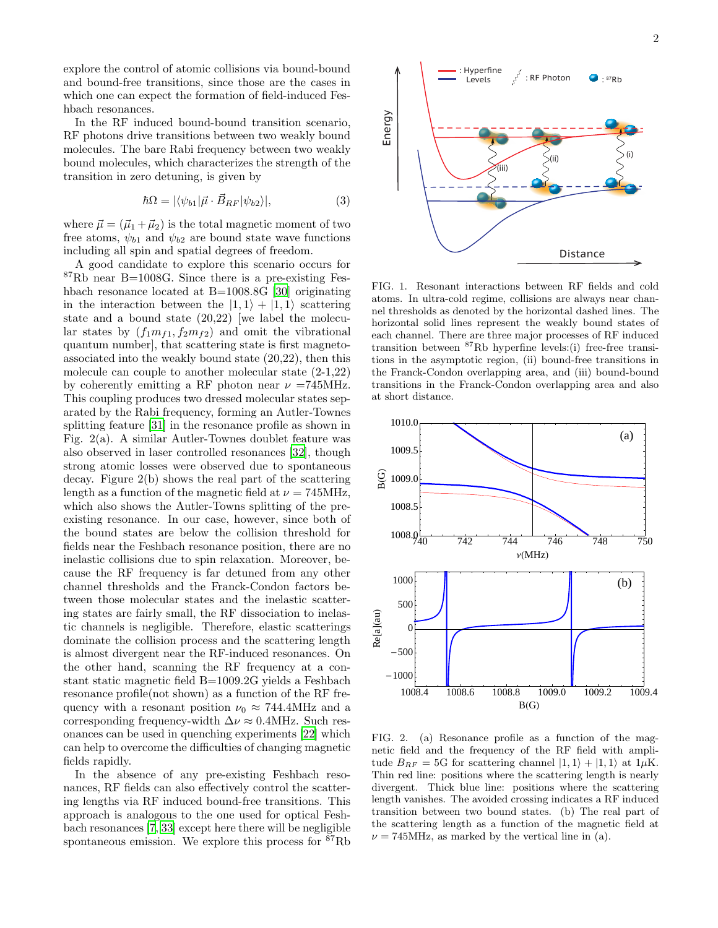explore the control of atomic collisions via bound-bound and bound-free transitions, since those are the cases in which one can expect the formation of field-induced Feshbach resonances.

In the RF induced bound-bound transition scenario, RF photons drive transitions between two weakly bound molecules. The bare Rabi frequency between two weakly bound molecules, which characterizes the strength of the transition in zero detuning, is given by

$$
\hbar\Omega = |\langle \psi_{b1} | \vec{\mu} \cdot \vec{B}_{RF} | \psi_{b2} \rangle|, \tag{3}
$$

where  $\vec{\mu} = (\vec{\mu}_1 + \vec{\mu}_2)$  is the total magnetic moment of two free atoms,  $\psi_{b1}$  and  $\psi_{b2}$  are bound state wave functions including all spin and spatial degrees of freedom.

A good candidate to explore this scenario occurs for <sup>87</sup>Rb near B=1008G. Since there is a pre-existing Feshbach resonance located at B=1008.8G [\[30](#page-4-23)] originating in the interaction between the  $|1, 1\rangle + |1, 1\rangle$  scattering state and a bound state (20,22) [we label the molecular states by  $(f_1m_{f1}, f_2m_{f2})$  and omit the vibrational quantum number], that scattering state is first magnetoassociated into the weakly bound state (20,22), then this molecule can couple to another molecular state (2-1,22) by coherently emitting a RF photon near  $\nu = 745 \text{MHz}$ . This coupling produces two dressed molecular states separated by the Rabi frequency, forming an Autler-Townes splitting feature [\[31](#page-4-24)] in the resonance profile as shown in Fig. 2(a). A similar Autler-Townes doublet feature was also observed in laser controlled resonances [\[32\]](#page-4-25), though strong atomic losses were observed due to spontaneous decay. Figure 2(b) shows the real part of the scattering length as a function of the magnetic field at  $\nu = 745 \text{MHz}$ , which also shows the Autler-Towns splitting of the preexisting resonance. In our case, however, since both of the bound states are below the collision threshold for fields near the Feshbach resonance position, there are no inelastic collisions due to spin relaxation. Moreover, because the RF frequency is far detuned from any other channel thresholds and the Franck-Condon factors between those molecular states and the inelastic scattering states are fairly small, the RF dissociation to inelastic channels is negligible. Therefore, elastic scatterings dominate the collision process and the scattering length is almost divergent near the RF-induced resonances. On the other hand, scanning the RF frequency at a constant static magnetic field B=1009.2G yields a Feshbach resonance profile(not shown) as a function of the RF frequency with a resonant position  $\nu_0 \approx 744.4 \text{MHz}$  and a corresponding frequency-width  $\Delta \nu \approx 0.4$ MHz. Such resonances can be used in quenching experiments [\[22\]](#page-4-15) which can help to overcome the difficulties of changing magnetic fields rapidly.

In the absence of any pre-existing Feshbach resonances, RF fields can also effectively control the scattering lengths via RF induced bound-free transitions. This approach is analogous to the one used for optical Feshbach resonances [\[7,](#page-4-5) [33\]](#page-4-26) except here there will be negligible spontaneous emission. We explore this process for <sup>87</sup>Rb



FIG. 1. Resonant interactions between RF fields and cold atoms. In ultra-cold regime, collisions are always near channel thresholds as denoted by the horizontal dashed lines. The horizontal solid lines represent the weakly bound states of each channel. There are three major processes of RF induced transition between  ${}^{87}$ Rb hyperfine levels:(i) free-free transitions in the asymptotic region, (ii) bound-free transitions in the Franck-Condon overlapping area, and (iii) bound-bound transitions in the Franck-Condon overlapping area and also at short distance.



FIG. 2. (a) Resonance profile as a function of the magnetic field and the frequency of the RF field with amplitude  $B_{RF} = 5G$  for scattering channel  $|1, 1\rangle + |1, 1\rangle$  at  $1\mu$ K. Thin red line: positions where the scattering length is nearly divergent. Thick blue line: positions where the scattering length vanishes. The avoided crossing indicates a RF induced transition between two bound states. (b) The real part of the scattering length as a function of the magnetic field at  $\nu = 745 \text{MHz}$ , as marked by the vertical line in (a).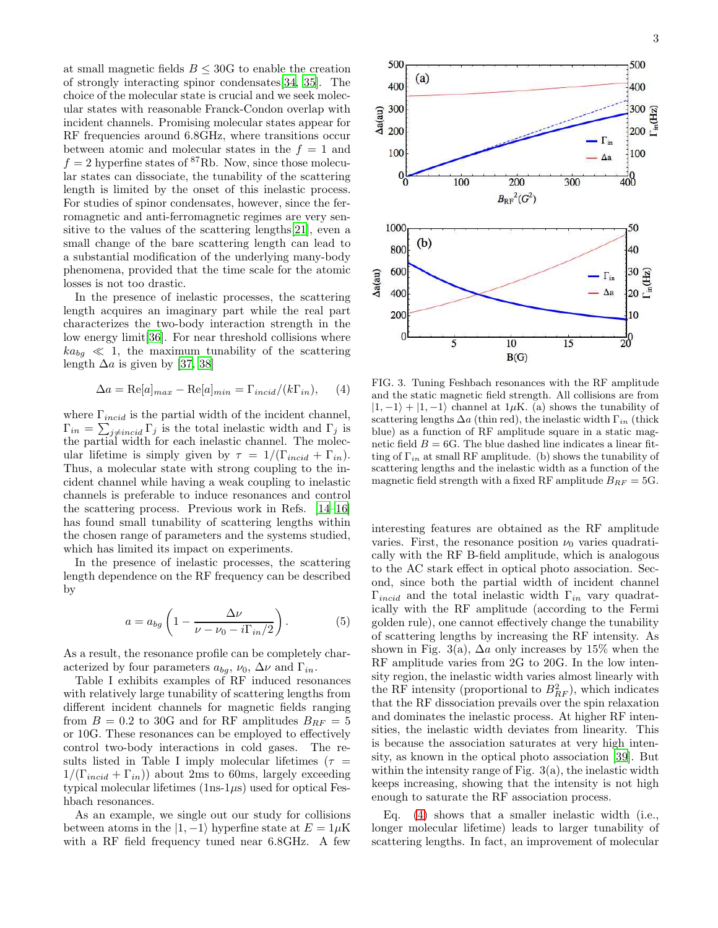at small magnetic fields  $B \leq 30G$  to enable the creation of strongly interacting spinor condensates[\[34](#page-4-27), [35](#page-4-28)]. The choice of the molecular state is crucial and we seek molecular states with reasonable Franck-Condon overlap with incident channels. Promising molecular states appear for RF frequencies around 6.8GHz, where transitions occur between atomic and molecular states in the  $f = 1$  and  $f = 2$  hyperfine states of <sup>87</sup>Rb. Now, since those molecular states can dissociate, the tunability of the scattering length is limited by the onset of this inelastic process. For studies of spinor condensates, however, since the ferromagnetic and anti-ferromagnetic regimes are very sensitive to the values of the scattering lengths[\[21](#page-4-14)], even a small change of the bare scattering length can lead to a substantial modification of the underlying many-body phenomena, provided that the time scale for the atomic losses is not too drastic.

In the presence of inelastic processes, the scattering length acquires an imaginary part while the real part characterizes the two-body interaction strength in the low energy limit[\[36](#page-4-29)]. For near threshold collisions where  $ka_{bq} \ll 1$ , the maximum tunability of the scattering length  $\Delta a$  is given by [\[37,](#page-4-30) [38\]](#page-4-31)

<span id="page-2-0"></span>
$$
\Delta a = \text{Re}[a]_{max} - \text{Re}[a]_{min} = \Gamma_{incid}/(k\Gamma_{in}), \quad (4)
$$

where  $\Gamma_{incid}$  is the partial width of the incident channel,  $\Gamma_{in} = \sum_{j \neq incid} \Gamma_j$  is the total inelastic width and  $\Gamma_j$  is the partial width for each inelastic channel. The molecular lifetime is simply given by  $\tau = 1/(\Gamma_{incid} + \Gamma_{in}).$ Thus, a molecular state with strong coupling to the incident channel while having a weak coupling to inelastic channels is preferable to induce resonances and control the scattering process. Previous work in Refs. [\[14](#page-4-32)[–16\]](#page-4-33) has found small tunability of scattering lengths within the chosen range of parameters and the systems studied, which has limited its impact on experiments.

In the presence of inelastic processes, the scattering length dependence on the RF frequency can be described by

<span id="page-2-1"></span>
$$
a = a_{bg} \left( 1 - \frac{\Delta \nu}{\nu - \nu_0 - i \Gamma_{in}/2} \right). \tag{5}
$$

As a result, the resonance profile can be completely characterized by four parameters  $a_{bq}$ ,  $\nu_0$ ,  $\Delta \nu$  and  $\Gamma_{in}$ .

Table I exhibits examples of RF induced resonances with relatively large tunability of scattering lengths from different incident channels for magnetic fields ranging from  $B = 0.2$  to 30G and for RF amplitudes  $B_{RF} = 5$ or 10G. These resonances can be employed to effectively control two-body interactions in cold gases. The results listed in Table I imply molecular lifetimes ( $\tau =$  $1/(\Gamma_{incid} + \Gamma_{in})$  about 2ms to 60ms, largely exceeding typical molecular lifetimes  $(1ns-1\mu s)$  used for optical Feshbach resonances.

As an example, we single out our study for collisions between atoms in the  $|1, -1\rangle$  hyperfine state at  $E = 1\mu$ K with a RF field frequency tuned near 6.8GHz. A few



FIG. 3. Tuning Feshbach resonances with the RF amplitude and the static magnetic field strength. All collisions are from  $|1, -1\rangle + |1, -1\rangle$  channel at 1µK. (a) shows the tunability of scattering lengths  $\Delta a$  (thin red), the inelastic width  $\Gamma_{in}$  (thick blue) as a function of RF amplitude square in a static magnetic field  $B = 6G$ . The blue dashed line indicates a linear fitting of  $\Gamma_{in}$  at small RF amplitude. (b) shows the tunability of scattering lengths and the inelastic width as a function of the magnetic field strength with a fixed RF amplitude  $B_{RF} = 5G$ .

interesting features are obtained as the RF amplitude varies. First, the resonance position  $\nu_0$  varies quadratically with the RF B-field amplitude, which is analogous to the AC stark effect in optical photo association. Second, since both the partial width of incident channel  $\Gamma_{incid}$  and the total inelastic width  $\Gamma_{in}$  vary quadratically with the RF amplitude (according to the Fermi golden rule), one cannot effectively change the tunability of scattering lengths by increasing the RF intensity. As shown in Fig. 3(a),  $\Delta a$  only increases by 15% when the RF amplitude varies from 2G to 20G. In the low intensity region, the inelastic width varies almost linearly with the RF intensity (proportional to  $B_{RF}^2$ ), which indicates that the RF dissociation prevails over the spin relaxation and dominates the inelastic process. At higher RF intensities, the inelastic width deviates from linearity. This is because the association saturates at very high intensity, as known in the optical photo association [\[39\]](#page-4-34). But within the intensity range of Fig. 3(a), the inelastic width keeps increasing, showing that the intensity is not high enough to saturate the RF association process.

Eq. [\(4\)](#page-2-0) shows that a smaller inelastic width (i.e., longer molecular lifetime) leads to larger tunability of scattering lengths. In fact, an improvement of molecular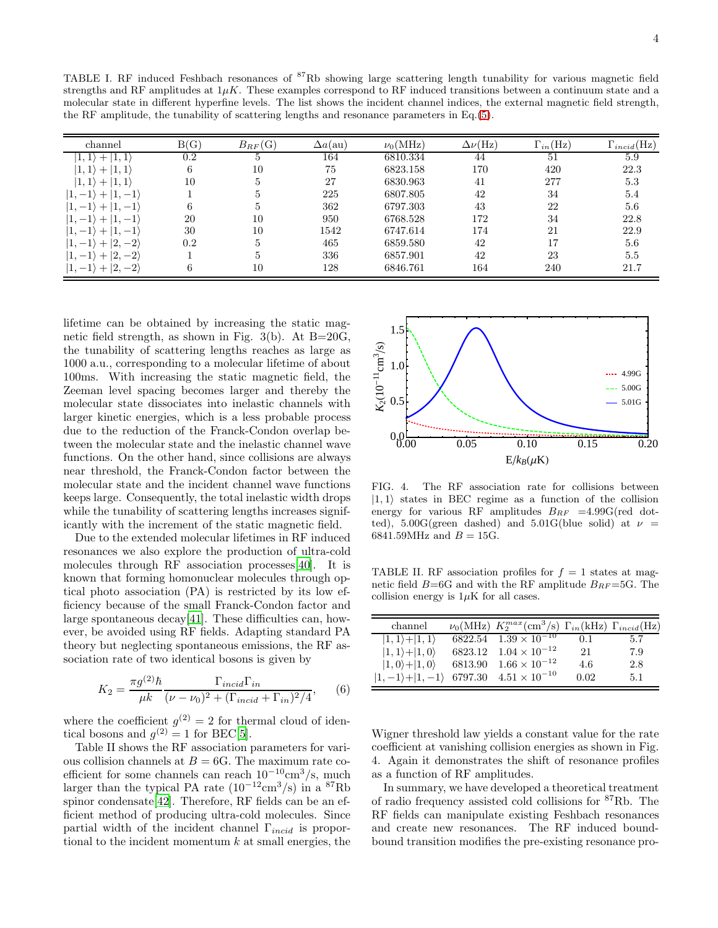| channel                            | B(G)    | $B_{RF}(G)$ | $\Delta a$ (au) | $\nu_0(\text{MHz})$ | $\Delta \nu(\rm Hz)$ | $\Gamma_{in}(\mathrm{Hz})$ | $\Gamma_{incid}(Hz)$ |
|------------------------------------|---------|-------------|-----------------|---------------------|----------------------|----------------------------|----------------------|
| 1,1                                | $0.2\,$ |             | 164             | 6810.334            | 44                   | 51                         | 5.9                  |
| 1, 1<br>$+$                        | 6       | 10          | 75              | 6823.158            | 170                  | 420                        | 22.3                 |
| 1, 1<br>$+1$                       | 10      | 5           | 27              | 6830.963            | 41                   | 277                        | 5.3                  |
| $1, -1$<br>$ 1, -1\rangle$<br>$+$  |         | 5           | 225             | 6807.805            | 42                   | 34                         | 5.4                  |
| $-1$<br>$1, -1$<br>$+$             | 6       | 5           | 362             | 6797.303            | 43                   | 22                         | 5.6                  |
| $-1$<br>$ 1, -1\rangle$            | 20      | 10          | 950             | 6768.528            | 172                  | 34                         | 22.8                 |
| $1, -1$<br>$-1$<br>$+$             | 30      | 10          | 1542            | 6747.614            | 174                  | 21                         | 22.9                 |
| $-2)$<br>2.<br>$1, -1$             | 0.2     | 5           | 465             | 6859.580            | 42                   | 17                         | 5.6                  |
| $+ 2,-2\rangle$<br>$ 1, -1\rangle$ |         | 5.          | 336             | 6857.901            | 42                   | 23                         | 5.5                  |
| $ 1,-1\rangle+ 2,-2\rangle$        | 6       | 10          | 128             | 6846.761            | 164                  | 240                        | 21.7                 |

lifetime can be obtained by increasing the static magnetic field strength, as shown in Fig.  $3(b)$ . At B=20G, the tunability of scattering lengths reaches as large as 1000 a.u., corresponding to a molecular lifetime of about 100ms. With increasing the static magnetic field, the Zeeman level spacing becomes larger and thereby the molecular state dissociates into inelastic channels with larger kinetic energies, which is a less probable process due to the reduction of the Franck-Condon overlap between the molecular state and the inelastic channel wave functions. On the other hand, since collisions are always near threshold, the Franck-Condon factor between the molecular state and the incident channel wave functions keeps large. Consequently, the total inelastic width drops while the tunability of scattering lengths increases significantly with the increment of the static magnetic field.

Due to the extended molecular lifetimes in RF induced resonances we also explore the production of ultra-cold molecules through RF association processes[\[40\]](#page-4-35). It is known that forming homonuclear molecules through optical photo association (PA) is restricted by its low efficiency because of the small Franck-Condon factor and large spontaneous decay[\[41\]](#page-4-36). These difficulties can, however, be avoided using RF fields. Adapting standard PA theory but neglecting spontaneous emissions, the RF association rate of two identical bosons is given by

$$
K_2 = \frac{\pi g^{(2)}\hbar}{\mu k} \frac{\Gamma_{incid}\Gamma_{in}}{(\nu - \nu_0)^2 + (\Gamma_{incid} + \Gamma_{in})^2/4},\qquad(6)
$$

where the coefficient  $g^{(2)} = 2$  for thermal cloud of identical bosons and  $g^{(2)} = 1$  for BEC[\[5\]](#page-4-3).

Table II shows the RF association parameters for various collision channels at  $B = 6G$ . The maximum rate coefficient for some channels can reach  $10^{-10}$ cm<sup>3</sup>/s, much larger than the typical PA rate  $(10^{-12} \text{cm}^3/\text{s})$  in a <sup>87</sup>Rb spinor condensate[\[42\]](#page-4-37). Therefore, RF fields can be an efficient method of producing ultra-cold molecules. Since partial width of the incident channel  $\Gamma_{incid}$  is proportional to the incident momentum  $k$  at small energies, the



FIG. 4. The RF association rate for collisions between  $|1, 1\rangle$  states in BEC regime as a function of the collision energy for various RF amplitudes  $B_{RF}$  =4.99G(red dotted), 5.00G(green dashed) and 5.01G(blue solid) at  $\nu =$ 6841.59MHz and  $B = 15$ G.

TABLE II. RF association profiles for  $f = 1$  states at magnetic field  $B=6G$  and with the RF amplitude  $B_{RF}=5G$ . The collision energy is  $1\mu$ K for all cases.

| channel                                                    | $\nu_0(\text{MHz})$ $K_2^{max}(\text{cm}^3/\text{s})$ $\Gamma_{in}(\text{kHz})$ $\Gamma_{incid}(\text{Hz})$ |      |     |
|------------------------------------------------------------|-------------------------------------------------------------------------------------------------------------|------|-----|
| $ 1,1\rangle+ 1,1\rangle$                                  | $6822.54$ $1.\overline{39} \times 10^{-10}$                                                                 | 0.1  | 5.7 |
| $ 1,1\rangle+ 1,0\rangle$                                  | $6823.12 \quad 1.04 \times 10^{-12}$                                                                        | -21  | 7.9 |
| $ 1,0\rangle+ 1,0\rangle$                                  | 6813.90 $1.66 \times 10^{-12}$                                                                              | 4.6  | 2.8 |
| $ 1,-1\rangle+ 1,-1\rangle$ 6797.30 $4.51 \times 10^{-10}$ |                                                                                                             | 0.02 | 5.1 |

Wigner threshold law yields a constant value for the rate coefficient at vanishing collision energies as shown in Fig. 4. Again it demonstrates the shift of resonance profiles as a function of RF amplitudes.

In summary, we have developed a theoretical treatment of radio frequency assisted cold collisions for <sup>87</sup>Rb. The RF fields can manipulate existing Feshbach resonances and create new resonances. The RF induced boundbound transition modifies the pre-existing resonance pro